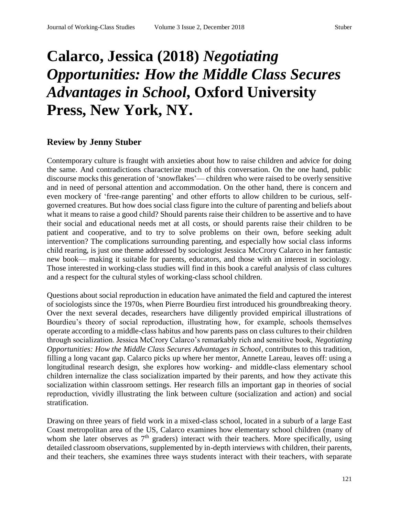## **Calarco, Jessica (2018)** *Negotiating Opportunities: How the Middle Class Secures Advantages in School***, Oxford University Press, New York, NY.**

## **Review by Jenny Stuber**

Contemporary culture is fraught with anxieties about how to raise children and advice for doing the same. And contradictions characterize much of this conversation. On the one hand, public discourse mocks this generation of 'snowflakes'— children who were raised to be overly sensitive and in need of personal attention and accommodation. On the other hand, there is concern and even mockery of 'free-range parenting' and other efforts to allow children to be curious, selfgoverned creatures. But how does social class figure into the culture of parenting and beliefs about what it means to raise a good child? Should parents raise their children to be assertive and to have their social and educational needs met at all costs, or should parents raise their children to be patient and cooperative, and to try to solve problems on their own, before seeking adult intervention? The complications surrounding parenting, and especially how social class informs child rearing, is just one theme addressed by sociologist Jessica McCrory Calarco in her fantastic new book— making it suitable for parents, educators, and those with an interest in sociology. Those interested in working-class studies will find in this book a careful analysis of class cultures and a respect for the cultural styles of working-class school children.

Questions about social reproduction in education have animated the field and captured the interest of sociologists since the 1970s, when Pierre Bourdieu first introduced his groundbreaking theory. Over the next several decades, researchers have diligently provided empirical illustrations of Bourdieu's theory of social reproduction, illustrating how, for example, schools themselves operate according to a middle-class habitus and how parents pass on class cultures to their children through socialization. Jessica McCrory Calarco's remarkably rich and sensitive book, *Negotiating Opportunities: How the Middle Class Secures Advantages in School*, contributes to this tradition, filling a long vacant gap. Calarco picks up where her mentor, Annette Lareau, leaves off: using a longitudinal research design, she explores how working- and middle-class elementary school children internalize the class socialization imparted by their parents, and how they activate this socialization within classroom settings. Her research fills an important gap in theories of social reproduction, vividly illustrating the link between culture (socialization and action) and social stratification.

Drawing on three years of field work in a mixed-class school, located in a suburb of a large East Coast metropolitan area of the US, Calarco examines how elementary school children (many of whom she later observes as  $7<sup>th</sup>$  graders) interact with their teachers. More specifically, using detailed classroom observations, supplemented by in-depth interviews with children, their parents, and their teachers, she examines three ways students interact with their teachers, with separate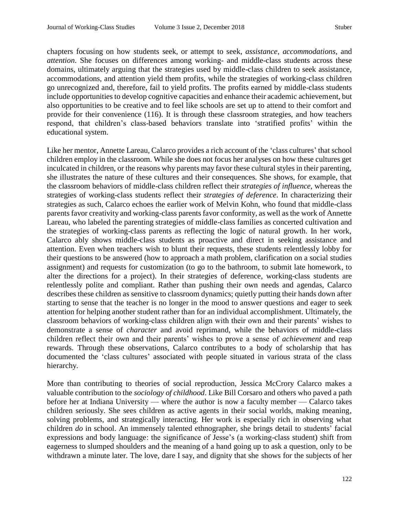chapters focusing on how students seek, or attempt to seek, *assistance*, *accommodations*, and *attention*. She focuses on differences among working- and middle-class students across these domains, ultimately arguing that the strategies used by middle-class children to seek assistance, accommodations, and attention yield them profits, while the strategies of working-class children go unrecognized and, therefore, fail to yield profits. The profits earned by middle-class students include opportunities to develop cognitive capacities and enhance their academic achievement, but also opportunities to be creative and to feel like schools are set up to attend to their comfort and provide for their convenience (116). It is through these classroom strategies, and how teachers respond, that children's class-based behaviors translate into 'stratified profits' within the educational system.

Like her mentor, Annette Lareau, Calarco provides a rich account of the 'class cultures' that school children employ in the classroom. While she does not focus her analyses on how these cultures get inculcated in children, or the reasons why parents may favor these cultural styles in their parenting, she illustrates the nature of these cultures and their consequences. She shows, for example, that the classroom behaviors of middle-class children reflect their *strategies of influence*, whereas the strategies of working-class students reflect their *strategies of deference*. In characterizing their strategies as such, Calarco echoes the earlier work of Melvin Kohn, who found that middle-class parents favor creativity and working-class parents favor conformity, as well as the work of Annette Lareau, who labeled the parenting strategies of middle-class families as concerted cultivation and the strategies of working-class parents as reflecting the logic of natural growth. In her work, Calarco ably shows middle-class students as proactive and direct in seeking assistance and attention. Even when teachers wish to blunt their requests, these students relentlessly lobby for their questions to be answered (how to approach a math problem, clarification on a social studies assignment) and requests for customization (to go to the bathroom, to submit late homework, to alter the directions for a project). In their strategies of deference, working-class students are relentlessly polite and compliant. Rather than pushing their own needs and agendas, Calarco describes these children as sensitive to classroom dynamics; quietly putting their hands down after starting to sense that the teacher is no longer in the mood to answer questions and eager to seek attention for helping another student rather than for an individual accomplishment. Ultimately, the classroom behaviors of working-class children align with their own and their parents' wishes to demonstrate a sense of *character* and avoid reprimand, while the behaviors of middle-class children reflect their own and their parents' wishes to prove a sense of *achievement* and reap rewards. Through these observations, Calarco contributes to a body of scholarship that has documented the 'class cultures' associated with people situated in various strata of the class hierarchy.

More than contributing to theories of social reproduction, Jessica McCrory Calarco makes a valuable contribution to the *sociology of childhood*. Like Bill Corsaro and others who paved a path before her at Indiana University — where the author is now a faculty member — Calarco takes children seriously. She sees children as active agents in their social worlds, making meaning, solving problems, and strategically interacting. Her work is especially rich in observing what children *do* in school. An immensely talented ethnographer, she brings detail to students' facial expressions and body language: the significance of Jesse's (a working-class student) shift from eagerness to slumped shoulders and the meaning of a hand going up to ask a question, only to be withdrawn a minute later. The love, dare I say, and dignity that she shows for the subjects of her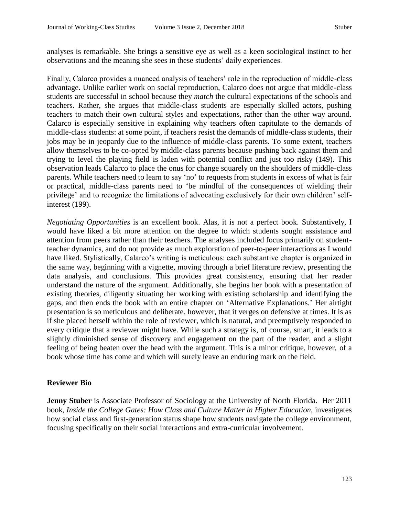analyses is remarkable. She brings a sensitive eye as well as a keen sociological instinct to her observations and the meaning she sees in these students' daily experiences.

Finally, Calarco provides a nuanced analysis of teachers' role in the reproduction of middle-class advantage. Unlike earlier work on social reproduction, Calarco does not argue that middle-class students are successful in school because they *match* the cultural expectations of the schools and teachers. Rather, she argues that middle-class students are especially skilled actors, pushing teachers to match their own cultural styles and expectations, rather than the other way around. Calarco is especially sensitive in explaining why teachers often capitulate to the demands of middle-class students: at some point, if teachers resist the demands of middle-class students, their jobs may be in jeopardy due to the influence of middle-class parents. To some extent, teachers allow themselves to be co-opted by middle-class parents because pushing back against them and trying to level the playing field is laden with potential conflict and just too risky (149). This observation leads Calarco to place the onus for change squarely on the shoulders of middle-class parents. While teachers need to learn to say 'no' to requests from students in excess of what is fair or practical, middle-class parents need to 'be mindful of the consequences of wielding their privilege' and to recognize the limitations of advocating exclusively for their own children' selfinterest (199).

*Negotiating Opportunities* is an excellent book. Alas, it is not a perfect book. Substantively, I would have liked a bit more attention on the degree to which students sought assistance and attention from peers rather than their teachers. The analyses included focus primarily on studentteacher dynamics, and do not provide as much exploration of peer-to-peer interactions as I would have liked. Stylistically, Calarco's writing is meticulous: each substantive chapter is organized in the same way, beginning with a vignette, moving through a brief literature review, presenting the data analysis, and conclusions. This provides great consistency, ensuring that her reader understand the nature of the argument. Additionally, she begins her book with a presentation of existing theories, diligently situating her working with existing scholarship and identifying the gaps, and then ends the book with an entire chapter on 'Alternative Explanations.' Her airtight presentation is so meticulous and deliberate, however, that it verges on defensive at times. It is as if she placed herself within the role of reviewer, which is natural, and preemptively responded to every critique that a reviewer might have. While such a strategy is, of course, smart, it leads to a slightly diminished sense of discovery and engagement on the part of the reader, and a slight feeling of being beaten over the head with the argument. This is a minor critique, however, of a book whose time has come and which will surely leave an enduring mark on the field.

## **Reviewer Bio**

**Jenny Stuber** is Associate Professor of Sociology at the University of North Florida. Her 2011 book, *Inside the College Gates: How Class and Culture Matter in Higher Education*, investigates how social class and first-generation status shape how students navigate the college environment, focusing specifically on their social interactions and extra-curricular involvement.